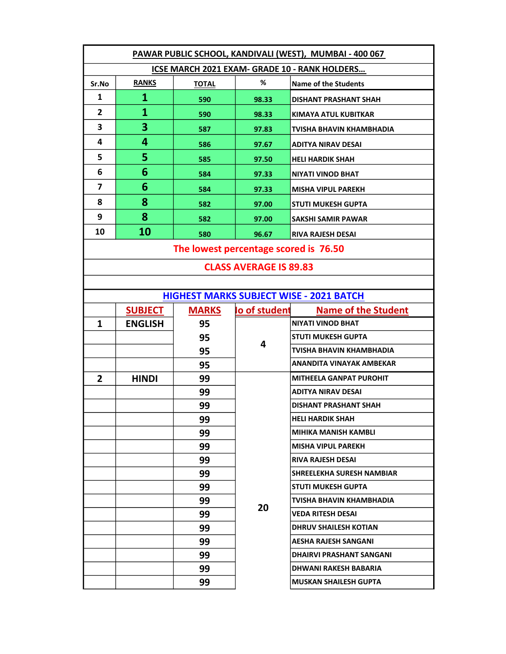| PAWAR PUBLIC SCHOOL, KANDIVALI (WEST), MUMBAI - 400 067 |                |                                       |               |                                                |  |  |
|---------------------------------------------------------|----------------|---------------------------------------|---------------|------------------------------------------------|--|--|
| ICSE MARCH 2021 EXAM- GRADE 10 - RANK HOLDERS           |                |                                       |               |                                                |  |  |
| Sr.No                                                   | <b>RANKS</b>   | <b>TOTAL</b>                          | %             | <b>Name of the Students</b>                    |  |  |
| 1                                                       | $\mathbf{1}$   | 590                                   | 98.33         | <b>DISHANT PRASHANT SHAH</b>                   |  |  |
| $\mathbf{2}$                                            | $\mathbf{1}$   | 590                                   | 98.33         | KIMAYA ATUL KUBITKAR                           |  |  |
| 3                                                       | 3              | 587                                   | 97.83         | TVISHA BHAVIN KHAMBHADIA                       |  |  |
| 4                                                       | 4              | 586                                   | 97.67         | <b>ADITYA NIRAV DESAI</b>                      |  |  |
| 5                                                       | 5              | 585                                   | 97.50         | <b>HELI HARDIK SHAH</b>                        |  |  |
| 6                                                       | 6              | 584                                   | 97.33         | NIYATI VINOD BHAT                              |  |  |
| 7                                                       | 6              | 584                                   | 97.33         | <b>MISHA VIPUL PAREKH</b>                      |  |  |
| 8                                                       | 8              | 582                                   | 97.00         | <b>STUTI MUKESH GUPTA</b>                      |  |  |
| 9                                                       | 8              | 582                                   | 97.00         | SAKSHI SAMIR PAWAR                             |  |  |
| 10                                                      | 10             | 580                                   | 96.67         | <b>RIVA RAJESH DESAI</b>                       |  |  |
|                                                         |                | The lowest percentage scored is 76.50 |               |                                                |  |  |
| <b>CLASS AVERAGE IS 89.83</b>                           |                |                                       |               |                                                |  |  |
|                                                         |                |                                       |               |                                                |  |  |
|                                                         |                |                                       |               | <b>HIGHEST MARKS SUBJECT WISE - 2021 BATCH</b> |  |  |
|                                                         | <b>SUBJECT</b> | <b>MARKS</b>                          | lo of student | <b>Name of the Student</b>                     |  |  |
| 1                                                       | <b>ENGLISH</b> | 95                                    |               | <b>NIYATI VINOD BHAT</b>                       |  |  |
|                                                         |                | 95                                    | 4             | STUTI MUKESH GUPTA                             |  |  |
|                                                         |                | 95                                    |               | TVISHA BHAVIN KHAMBHADIA                       |  |  |
|                                                         |                | 95                                    |               | ANANDITA VINAYAK AMBEKAR                       |  |  |
| $\overline{2}$                                          | <b>HINDI</b>   | 99                                    |               | <b>MITHEELA GANPAT PUROHIT</b>                 |  |  |
|                                                         |                | 99                                    |               | ADITYA NIRAV DESAI                             |  |  |
|                                                         |                | 99                                    |               | DISHANT PRASHANT SHAH                          |  |  |
|                                                         |                | 99                                    |               | <b>HELI HARDIK SHAH</b>                        |  |  |
|                                                         |                | 99                                    |               | MIHIKA MANISH KAMBLI                           |  |  |
|                                                         |                | 99                                    |               | <b>MISHA VIPUL PAREKH</b>                      |  |  |
|                                                         |                | 99                                    |               | RIVA RAJESH DESAI                              |  |  |
|                                                         |                | 99                                    |               | SHREELEKHA SURESH NAMBIAR                      |  |  |
|                                                         |                | 99                                    |               | <b>STUTI MUKESH GUPTA</b>                      |  |  |
|                                                         |                | 99                                    | 20            | TVISHA BHAVIN KHAMBHADIA                       |  |  |
|                                                         |                | 99                                    |               | VEDA RITESH DESAI                              |  |  |
|                                                         |                | 99                                    |               | <b>DHRUV SHAILESH KOTIAN</b>                   |  |  |
|                                                         |                | 99                                    |               | AESHA RAJESH SANGANI                           |  |  |
|                                                         |                | 99                                    |               | DHAIRVI PRASHANT SANGANI                       |  |  |
|                                                         |                | 99                                    |               | DHWANI RAKESH BABARIA                          |  |  |
|                                                         |                | 99                                    |               | <b>MUSKAN SHAILESH GUPTA</b>                   |  |  |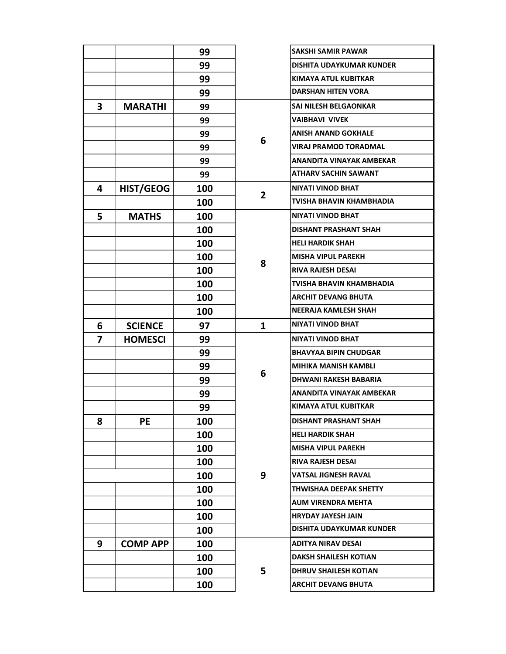|   |                 | 99  |                | <b>SAKSHI SAMIR PAWAR</b>       |
|---|-----------------|-----|----------------|---------------------------------|
|   |                 | 99  |                | DISHITA UDAYKUMAR KUNDER        |
|   |                 | 99  |                | KIMAYA ATUL KUBITKAR            |
|   |                 | 99  |                | <b>DARSHAN HITEN VORA</b>       |
| 3 | <b>MARATHI</b>  | 99  |                | SAI NILESH BELGAONKAR           |
|   |                 | 99  |                | <b>VAIBHAVI VIVEK</b>           |
|   |                 | 99  |                | <b>ANISH ANAND GOKHALE</b>      |
|   |                 | 99  | 6              | <b>VIRAJ PRAMOD TORADMAL</b>    |
|   |                 | 99  |                | ANANDITA VINAYAK AMBEKAR        |
|   |                 | 99  |                | <b>ATHARV SACHIN SAWANT</b>     |
| 4 | HIST/GEOG       | 100 | $\overline{2}$ | <b>NIYATI VINOD BHAT</b>        |
|   |                 | 100 |                | TVISHA BHAVIN KHAMBHADIA        |
| 5 | <b>MATHS</b>    | 100 |                | <b>NIYATI VINOD BHAT</b>        |
|   |                 | 100 |                | <b>DISHANT PRASHANT SHAH</b>    |
|   |                 | 100 |                | <b>HELI HARDIK SHAH</b>         |
|   |                 | 100 | 8              | <b>MISHA VIPUL PAREKH</b>       |
|   |                 | 100 |                | <b>RIVA RAJESH DESAI</b>        |
|   |                 | 100 |                | TVISHA BHAVIN KHAMBHADIA        |
|   |                 | 100 |                | <b>ARCHIT DEVANG BHUTA</b>      |
|   |                 | 100 |                | NEERAJA KAMLESH SHAH            |
| 6 | <b>SCIENCE</b>  | 97  | $\mathbf{1}$   | <b>NIYATI VINOD BHAT</b>        |
| 7 | <b>HOMESCI</b>  | 99  |                | <b>NIYATI VINOD BHAT</b>        |
|   |                 | 99  |                | <b>BHAVYAA BIPIN CHUDGAR</b>    |
|   |                 | 99  | 6              | <b>MIHIKA MANISH KAMBLI</b>     |
|   |                 | 99  |                | DHWANI RAKESH BABARIA           |
|   |                 | 99  |                | ANANDITA VINAYAK AMBEKAR        |
|   |                 | 99  |                | KIMAYA ATUL KUBITKAR            |
| 8 | PE              | 100 |                | <b>DISHANT PRASHANT SHAH</b>    |
|   |                 | 100 |                | <b>HELI HARDIK SHAH</b>         |
|   |                 | 100 |                | <b>MISHA VIPUL PAREKH</b>       |
|   |                 | 100 |                | <b>RIVA RAJESH DESAI</b>        |
|   |                 | 100 | 9              | <b>VATSAL JIGNESH RAVAL</b>     |
|   |                 | 100 |                | THWISHAA DEEPAK SHETTY          |
|   |                 | 100 |                | <b>AUM VIRENDRA MEHTA</b>       |
|   |                 | 100 |                | <b>HRYDAY JAYESH JAIN</b>       |
|   |                 | 100 |                | <b>DISHITA UDAYKUMAR KUNDER</b> |
| 9 | <b>COMP APP</b> | 100 |                | <b>ADITYA NIRAV DESAI</b>       |
|   |                 | 100 |                | <b>DAKSH SHAILESH KOTIAN</b>    |
|   |                 | 100 | 5              | <b>DHRUV SHAILESH KOTIAN</b>    |
|   |                 | 100 |                | <b>ARCHIT DEVANG BHUTA</b>      |